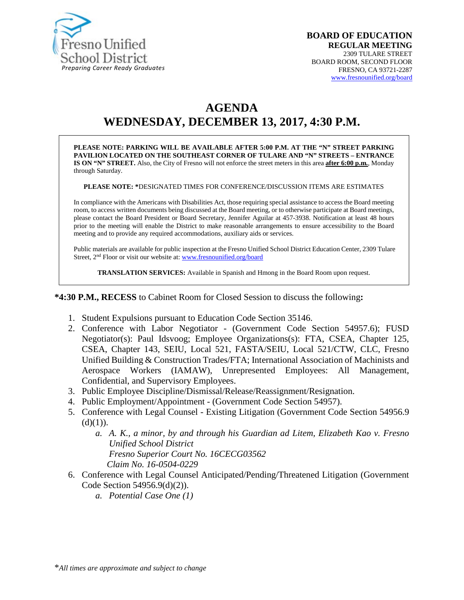

# **AGENDA WEDNESDAY, DECEMBER 13, 2017, 4:30 P.M.**

**PLEASE NOTE: PARKING WILL BE AVAILABLE AFTER 5:00 P.M. AT THE "N" STREET PARKING PAVILION LOCATED ON THE SOUTHEAST CORNER OF TULARE AND "N" STREETS – ENTRANCE IS ON "N" STREET.** Also, the City of Fresno will not enforce the street meters in this area **after 6:00 p.m.**, Monday through Saturday.

**PLEASE NOTE: \***DESIGNATED TIMES FOR CONFERENCE/DISCUSSION ITEMS ARE ESTIMATES

In compliance with the Americans with Disabilities Act, those requiring special assistance to access the Board meeting room, to access written documents being discussed at the Board meeting, or to otherwise participate at Board meetings, please contact the Board President or Board Secretary, Jennifer Aguilar at 457-3938. Notification at least 48 hours prior to the meeting will enable the District to make reasonable arrangements to ensure accessibility to the Board meeting and to provide any required accommodations, auxiliary aids or services.

Public materials are available for public inspection at the Fresno Unified School District Education Center, 2309 Tulare Street, 2<sup>nd</sup> Floor or visit our website at: [www.fresnounified.org/board](http://www.fresnounified.org/board)

**TRANSLATION SERVICES:** Available in Spanish and Hmong in the Board Room upon request.

**\*4:30 P.M., RECESS** to Cabinet Room for Closed Session to discuss the following**:**

- 1. Student Expulsions pursuant to Education Code Section 35146.
- 2. Conference with Labor Negotiator (Government Code Section 54957.6); FUSD Negotiator(s): Paul Idsvoog; Employee Organizations(s): FTA, CSEA, Chapter 125, CSEA, Chapter 143, SEIU, Local 521, FASTA/SEIU, Local 521/CTW, CLC, Fresno Unified Building & Construction Trades/FTA; International Association of Machinists and Aerospace Workers (IAMAW), Unrepresented Employees: All Management, Confidential, and Supervisory Employees.
- 3. Public Employee Discipline/Dismissal/Release/Reassignment/Resignation.
- 4. Public Employment/Appointment (Government Code Section 54957).
- 5. Conference with Legal Counsel Existing Litigation (Government Code Section 54956.9  $(d)(1)$ ).
	- *a. A. K., a minor, by and through his Guardian ad Litem, Elizabeth Kao v. Fresno Unified School District Fresno Superior Court No. 16CECG03562 Claim No. 16-0504-0229*
- 6. Conference with Legal Counsel Anticipated/Pending/Threatened Litigation (Government Code Section 54956.9(d)(2)).
	- *a. Potential Case One (1)*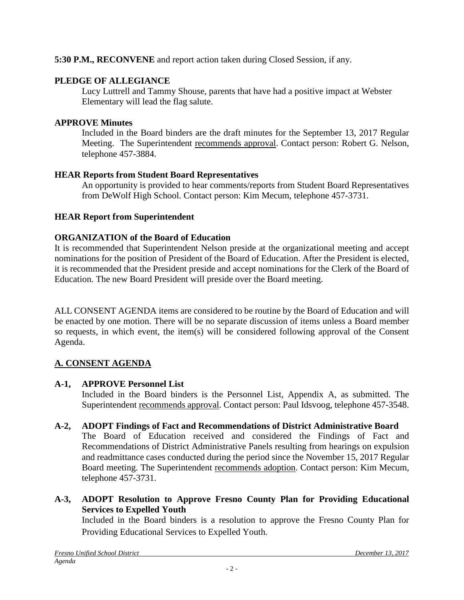### **5:30 P.M., RECONVENE** and report action taken during Closed Session, if any.

#### **PLEDGE OF ALLEGIANCE**

Lucy Luttrell and Tammy Shouse, parents that have had a positive impact at Webster Elementary will lead the flag salute.

#### **APPROVE Minutes**

Included in the Board binders are the draft minutes for the September 13, 2017 Regular Meeting. The Superintendent recommends approval. Contact person: Robert G. Nelson, telephone 457-3884.

#### **HEAR Reports from Student Board Representatives**

An opportunity is provided to hear comments/reports from Student Board Representatives from DeWolf High School. Contact person: Kim Mecum, telephone 457-3731.

#### **HEAR Report from Superintendent**

### **ORGANIZATION of the Board of Education**

It is recommended that Superintendent Nelson preside at the organizational meeting and accept nominations for the position of President of the Board of Education. After the President is elected, it is recommended that the President preside and accept nominations for the Clerk of the Board of Education. The new Board President will preside over the Board meeting.

ALL CONSENT AGENDA items are considered to be routine by the Board of Education and will be enacted by one motion. There will be no separate discussion of items unless a Board member so requests, in which event, the item(s) will be considered following approval of the Consent Agenda.

# **A. CONSENT AGENDA**

### **A-1, APPROVE Personnel List**

Included in the Board binders is the Personnel List, Appendix A, as submitted. The Superintendent recommends approval. Contact person: Paul Idsvoog, telephone 457-3548.

#### **A-2, ADOPT Findings of Fact and Recommendations of District Administrative Board**

The Board of Education received and considered the Findings of Fact and Recommendations of District Administrative Panels resulting from hearings on expulsion and readmittance cases conducted during the period since the November 15, 2017 Regular Board meeting. The Superintendent recommends adoption. Contact person: Kim Mecum, telephone 457-3731.

**A-3, ADOPT Resolution to Approve Fresno County Plan for Providing Educational Services to Expelled Youth**

Included in the Board binders is a resolution to approve the Fresno County Plan for Providing Educational Services to Expelled Youth.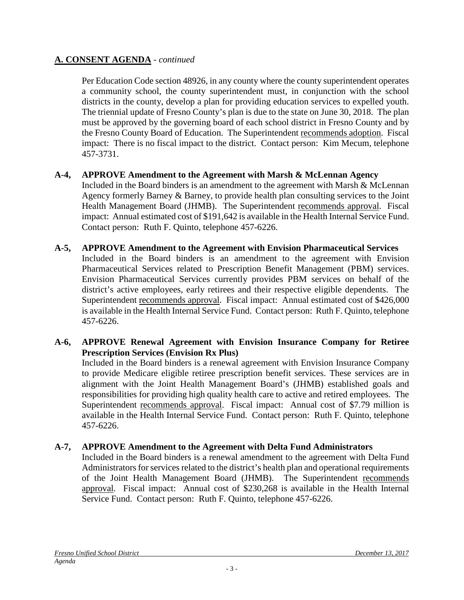Per Education Code section 48926, in any county where the county superintendent operates a community school, the county superintendent must, in conjunction with the school districts in the county, develop a plan for providing education services to expelled youth. The triennial update of Fresno County's plan is due to the state on June 30, 2018. The plan must be approved by the governing board of each school district in Fresno County and by the Fresno County Board of Education. The Superintendent recommends adoption. Fiscal impact: There is no fiscal impact to the district. Contact person: Kim Mecum, telephone 457-3731.

#### **A-4, APPROVE Amendment to the Agreement with Marsh & McLennan Agency**

Included in the Board binders is an amendment to the agreement with Marsh & McLennan Agency formerly Barney & Barney, to provide health plan consulting services to the Joint Health Management Board (JHMB). The Superintendent recommends approval. Fiscal impact: Annual estimated cost of \$191,642 is available in the Health Internal Service Fund. Contact person: Ruth F. Quinto, telephone 457-6226.

**A-5, APPROVE Amendment to the Agreement with Envision Pharmaceutical Services** Included in the Board binders is an amendment to the agreement with Envision Pharmaceutical Services related to Prescription Benefit Management (PBM) services. Envision Pharmaceutical Services currently provides PBM services on behalf of the district's active employees, early retirees and their respective eligible dependents. The Superintendent recommends approval. Fiscal impact: Annual estimated cost of \$426,000 is available in the Health Internal Service Fund. Contact person: Ruth F. Quinto, telephone 457-6226.

#### **A-6, APPROVE Renewal Agreement with Envision Insurance Company for Retiree Prescription Services (Envision Rx Plus)**

Included in the Board binders is a renewal agreement with Envision Insurance Company to provide Medicare eligible retiree prescription benefit services. These services are in alignment with the Joint Health Management Board's (JHMB) established goals and responsibilities for providing high quality health care to active and retired employees. The Superintendent recommends approval. Fiscal impact: Annual cost of \$7.79 million is available in the Health Internal Service Fund. Contact person: Ruth F. Quinto, telephone 457-6226.

### **A-7, APPROVE Amendment to the Agreement with Delta Fund Administrators**

Included in the Board binders is a renewal amendment to the agreement with Delta Fund Administrators for services related to the district's health plan and operational requirements of the Joint Health Management Board (JHMB). The Superintendent recommends approval. Fiscal impact: Annual cost of \$230,268 is available in the Health Internal Service Fund. Contact person: Ruth F. Quinto, telephone 457-6226.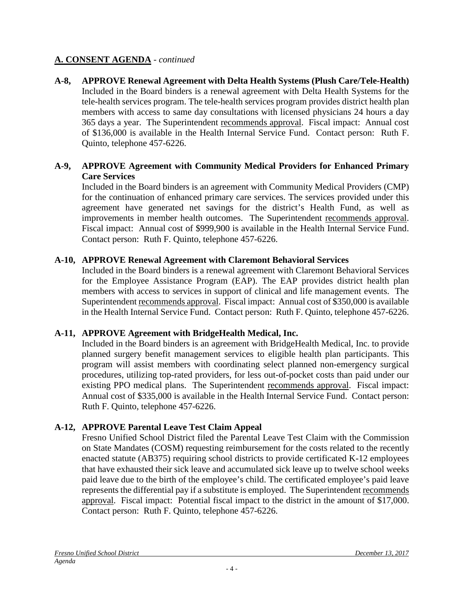**A-8, APPROVE Renewal Agreement with Delta Health Systems (Plush Care/Tele-Health)** Included in the Board binders is a renewal agreement with Delta Health Systems for the tele-health services program. The tele-health services program provides district health plan members with access to same day consultations with licensed physicians 24 hours a day 365 days a year. The Superintendent recommends approval. Fiscal impact: Annual cost of \$136,000 is available in the Health Internal Service Fund. Contact person: Ruth F. Quinto, telephone 457-6226.

### **A-9, APPROVE Agreement with Community Medical Providers for Enhanced Primary Care Services**

Included in the Board binders is an agreement with Community Medical Providers (CMP) for the continuation of enhanced primary care services. The services provided under this agreement have generated net savings for the district's Health Fund, as well as improvements in member health outcomes. The Superintendent recommends approval. Fiscal impact: Annual cost of \$999,900 is available in the Health Internal Service Fund. Contact person: Ruth F. Quinto, telephone 457-6226.

#### **A-10, APPROVE Renewal Agreement with Claremont Behavioral Services**

Included in the Board binders is a renewal agreement with Claremont Behavioral Services for the Employee Assistance Program (EAP). The EAP provides district health plan members with access to services in support of clinical and life management events. The Superintendent recommends approval. Fiscal impact: Annual cost of \$350,000 is available in the Health Internal Service Fund. Contact person: Ruth F. Quinto, telephone 457-6226.

### **A-11, APPROVE Agreement with BridgeHealth Medical, Inc.**

Included in the Board binders is an agreement with BridgeHealth Medical, Inc. to provide planned surgery benefit management services to eligible health plan participants. This program will assist members with coordinating select planned non-emergency surgical procedures, utilizing top-rated providers, for less out-of-pocket costs than paid under our existing PPO medical plans. The Superintendent recommends approval. Fiscal impact: Annual cost of \$335,000 is available in the Health Internal Service Fund. Contact person: Ruth F. Quinto, telephone 457-6226.

### **A-12, APPROVE Parental Leave Test Claim Appeal**

Fresno Unified School District filed the Parental Leave Test Claim with the Commission on State Mandates (COSM) requesting reimbursement for the costs related to the recently enacted statute (AB375) requiring school districts to provide certificated K-12 employees that have exhausted their sick leave and accumulated sick leave up to twelve school weeks paid leave due to the birth of the employee's child. The certificated employee's paid leave represents the differential pay if a substitute is employed. The Superintendent recommends approval. Fiscal impact: Potential fiscal impact to the district in the amount of \$17,000. Contact person: Ruth F. Quinto, telephone 457-6226.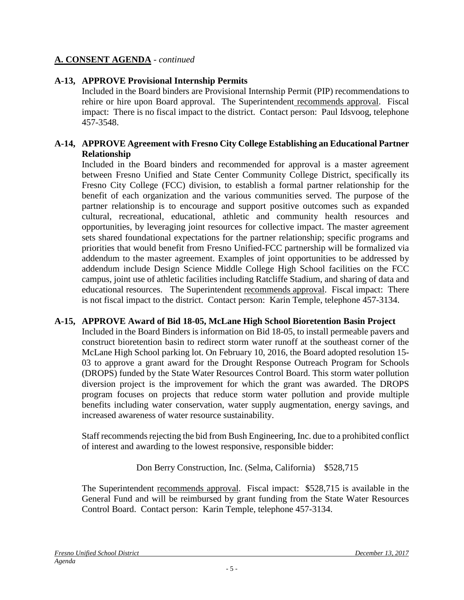### **A-13, APPROVE Provisional Internship Permits**

Included in the Board binders are Provisional Internship Permit (PIP) recommendations to rehire or hire upon Board approval. The Superintendent recommends approval. Fiscal impact: There is no fiscal impact to the district. Contact person: Paul Idsvoog, telephone 457-3548.

#### **A-14, APPROVE Agreement with Fresno City College Establishing an Educational Partner Relationship**

Included in the Board binders and recommended for approval is a master agreement between Fresno Unified and State Center Community College District, specifically its Fresno City College (FCC) division, to establish a formal partner relationship for the benefit of each organization and the various communities served. The purpose of the partner relationship is to encourage and support positive outcomes such as expanded cultural, recreational, educational, athletic and community health resources and opportunities, by leveraging joint resources for collective impact. The master agreement sets shared foundational expectations for the partner relationship; specific programs and priorities that would benefit from Fresno Unified-FCC partnership will be formalized via addendum to the master agreement. Examples of joint opportunities to be addressed by addendum include Design Science Middle College High School facilities on the FCC campus, joint use of athletic facilities including Ratcliffe Stadium, and sharing of data and educational resources. The Superintendent recommends approval. Fiscal impact: There is not fiscal impact to the district. Contact person: Karin Temple, telephone 457-3134.

#### **A-15, APPROVE Award of Bid 18-05, McLane High School Bioretention Basin Project**

Included in the Board Binders is information on Bid 18-05, to install permeable pavers and construct bioretention basin to redirect storm water runoff at the southeast corner of the McLane High School parking lot. On February 10, 2016, the Board adopted resolution 15- 03 to approve a grant award for the Drought Response Outreach Program for Schools (DROPS) funded by the State Water Resources Control Board. This storm water pollution diversion project is the improvement for which the grant was awarded. The DROPS program focuses on projects that reduce storm water pollution and provide multiple benefits including water conservation, water supply augmentation, energy savings, and increased awareness of water resource sustainability.

Staff recommends rejecting the bid from Bush Engineering, Inc. due to a prohibited conflict of interest and awarding to the lowest responsive, responsible bidder:

Don Berry Construction, Inc. (Selma, California) \$528,715

The Superintendent recommends approval. Fiscal impact: \$528,715 is available in the General Fund and will be reimbursed by grant funding from the State Water Resources Control Board. Contact person: Karin Temple, telephone 457-3134.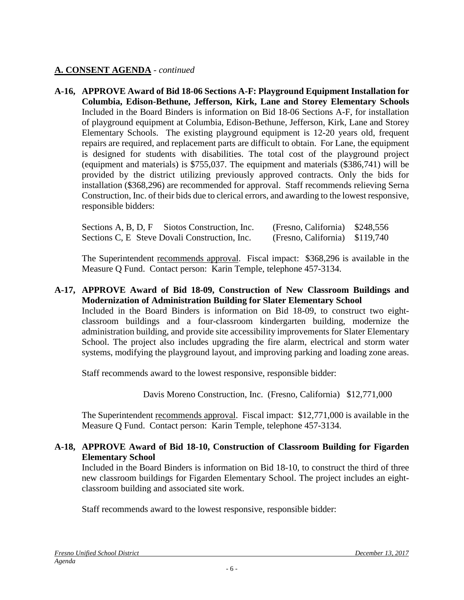**A-16, APPROVE Award of Bid 18-06 Sections A-F: Playground Equipment Installation for Columbia, Edison-Bethune, Jefferson, Kirk, Lane and Storey Elementary Schools** Included in the Board Binders is information on Bid 18-06 Sections A-F, for installation of playground equipment at Columbia, Edison-Bethune, Jefferson, Kirk, Lane and Storey Elementary Schools. The existing playground equipment is 12-20 years old, frequent repairs are required, and replacement parts are difficult to obtain. For Lane, the equipment is designed for students with disabilities. The total cost of the playground project (equipment and materials) is \$755,037. The equipment and materials (\$386,741) will be provided by the district utilizing previously approved contracts. Only the bids for installation (\$368,296) are recommended for approval. Staff recommends relieving Serna Construction, Inc. of their bids due to clerical errors, and awarding to the lowest responsive, responsible bidders:

| Sections A, B, D, F Siotos Construction, Inc. | (Fresno, California) \$248,556 |  |
|-----------------------------------------------|--------------------------------|--|
| Sections C, E Steve Dovali Construction, Inc. | (Fresno, California) \$119,740 |  |

The Superintendent recommends approval. Fiscal impact: \$368,296 is available in the Measure Q Fund. Contact person: Karin Temple, telephone 457-3134.

#### **A-17, APPROVE Award of Bid 18-09, Construction of New Classroom Buildings and Modernization of Administration Building for Slater Elementary School**

Included in the Board Binders is information on Bid 18-09, to construct two eightclassroom buildings and a four-classroom kindergarten building, modernize the administration building, and provide site accessibility improvements for Slater Elementary School. The project also includes upgrading the fire alarm, electrical and storm water systems, modifying the playground layout, and improving parking and loading zone areas.

Staff recommends award to the lowest responsive, responsible bidder:

Davis Moreno Construction, Inc. (Fresno, California) \$12,771,000

The Superintendent recommends approval. Fiscal impact: \$12,771,000 is available in the Measure Q Fund. Contact person: Karin Temple, telephone 457-3134.

#### **A-18, APPROVE Award of Bid 18-10, Construction of Classroom Building for Figarden Elementary School**

Included in the Board Binders is information on Bid 18-10, to construct the third of three new classroom buildings for Figarden Elementary School. The project includes an eightclassroom building and associated site work.

Staff recommends award to the lowest responsive, responsible bidder: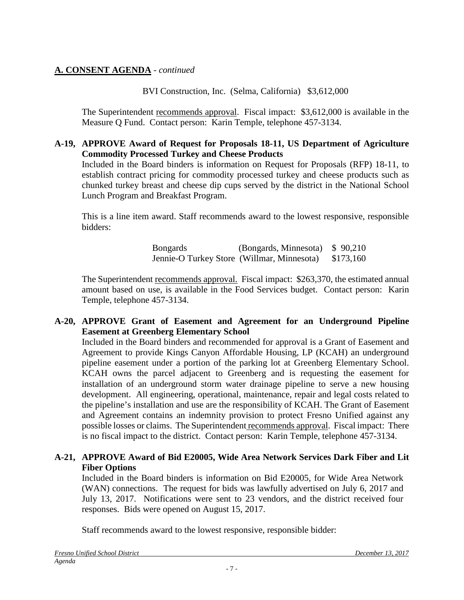BVI Construction, Inc. (Selma, California) \$3,612,000

The Superintendent recommends approval. Fiscal impact: \$3,612,000 is available in the Measure Q Fund. Contact person: Karin Temple, telephone 457-3134.

#### **A-19, APPROVE Award of Request for Proposals 18-11, US Department of Agriculture Commodity Processed Turkey and Cheese Products**

Included in the Board binders is information on Request for Proposals (RFP) 18-11, to establish contract pricing for commodity processed turkey and cheese products such as chunked turkey breast and cheese dip cups served by the district in the National School Lunch Program and Breakfast Program.

This is a line item award. Staff recommends award to the lowest responsive, responsible bidders:

> Bongards (Bongards, Minnesota) \$ 90,210 Jennie-O Turkey Store (Willmar, Minnesota) \$173,160

The Superintendent recommends approval. Fiscal impact: \$263,370, the estimated annual amount based on use, is available in the Food Services budget. Contact person: Karin Temple, telephone 457-3134.

### **A-20, APPROVE Grant of Easement and Agreement for an Underground Pipeline Easement at Greenberg Elementary School**

Included in the Board binders and recommended for approval is a Grant of Easement and Agreement to provide Kings Canyon Affordable Housing, LP (KCAH) an underground pipeline easement under a portion of the parking lot at Greenberg Elementary School. KCAH owns the parcel adjacent to Greenberg and is requesting the easement for installation of an underground storm water drainage pipeline to serve a new housing development. All engineering, operational, maintenance, repair and legal costs related to the pipeline's installation and use are the responsibility of KCAH. The Grant of Easement and Agreement contains an indemnity provision to protect Fresno Unified against any possible losses or claims. The Superintendent recommends approval. Fiscal impact: There is no fiscal impact to the district. Contact person: Karin Temple, telephone 457-3134.

#### **A-21, APPROVE Award of Bid E20005, Wide Area Network Services Dark Fiber and Lit Fiber Options**

Included in the Board binders is information on Bid E20005, for Wide Area Network (WAN) connections. The request for bids was lawfully advertised on July 6, 2017 and July 13, 2017. Notifications were sent to 23 vendors, and the district received four responses. Bids were opened on August 15, 2017.

Staff recommends award to the lowest responsive, responsible bidder: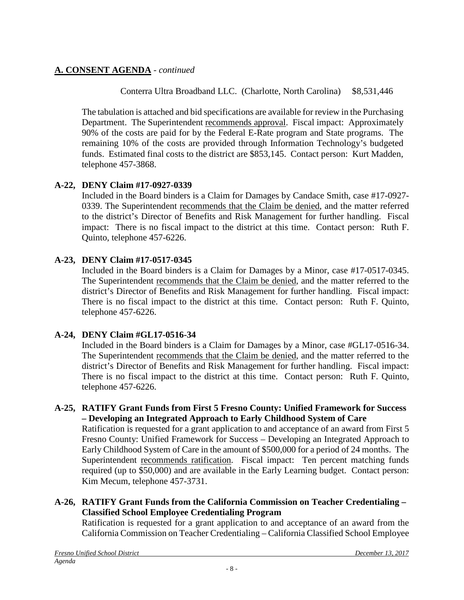Conterra Ultra Broadband LLC. (Charlotte, North Carolina) \$8,531,446

The tabulation is attached and bid specifications are available for review in the Purchasing Department. The Superintendent recommends approval. Fiscal impact: Approximately 90% of the costs are paid for by the Federal E-Rate program and State programs. The remaining 10% of the costs are provided through Information Technology's budgeted funds. Estimated final costs to the district are \$853,145. Contact person: Kurt Madden, telephone 457-3868.

# **A-22, DENY Claim #17-0927-0339**

Included in the Board binders is a Claim for Damages by Candace Smith, case #17-0927- 0339. The Superintendent recommends that the Claim be denied, and the matter referred to the district's Director of Benefits and Risk Management for further handling. Fiscal impact: There is no fiscal impact to the district at this time. Contact person: Ruth F. Quinto, telephone 457-6226.

# **A-23, DENY Claim #17-0517-0345**

Included in the Board binders is a Claim for Damages by a Minor, case #17-0517-0345. The Superintendent recommends that the Claim be denied, and the matter referred to the district's Director of Benefits and Risk Management for further handling. Fiscal impact: There is no fiscal impact to the district at this time. Contact person: Ruth F. Quinto, telephone 457-6226.

# **A-24, DENY Claim #GL17-0516-34**

Included in the Board binders is a Claim for Damages by a Minor, case #GL17-0516-34. The Superintendent recommends that the Claim be denied, and the matter referred to the district's Director of Benefits and Risk Management for further handling. Fiscal impact: There is no fiscal impact to the district at this time. Contact person: Ruth F. Quinto, telephone 457-6226.

### **A-25, RATIFY Grant Funds from First 5 Fresno County: Unified Framework for Success – Developing an Integrated Approach to Early Childhood System of Care**

Ratification is requested for a grant application to and acceptance of an award from First 5 Fresno County: Unified Framework for Success – Developing an Integrated Approach to Early Childhood System of Care in the amount of \$500,000 for a period of 24 months. The Superintendent recommends ratification. Fiscal impact: Ten percent matching funds required (up to \$50,000) and are available in the Early Learning budget. Contact person: Kim Mecum, telephone 457-3731.

### **A-26, RATIFY Grant Funds from the California Commission on Teacher Credentialing – Classified School Employee Credentialing Program**

Ratification is requested for a grant application to and acceptance of an award from the California Commission on Teacher Credentialing – California Classified School Employee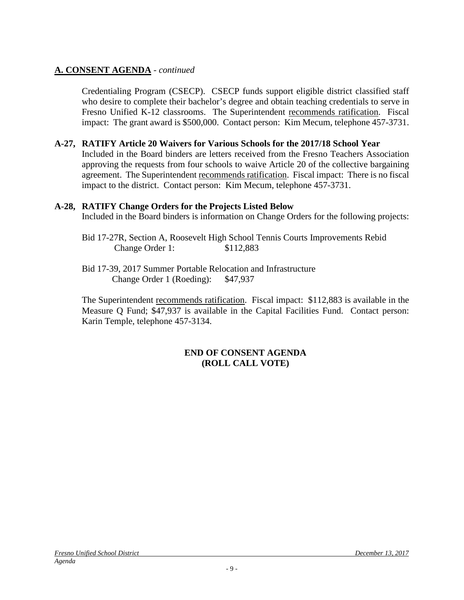Credentialing Program (CSECP). CSECP funds support eligible district classified staff who desire to complete their bachelor's degree and obtain teaching credentials to serve in Fresno Unified K-12 classrooms. The Superintendent recommends ratification. Fiscal impact: The grant award is \$500,000. Contact person: Kim Mecum, telephone 457-3731.

#### **A-27, RATIFY Article 20 Waivers for Various Schools for the 2017/18 School Year**

Included in the Board binders are letters received from the Fresno Teachers Association approving the requests from four schools to waive Article 20 of the collective bargaining agreement. The Superintendent recommends ratification. Fiscal impact: There is no fiscal impact to the district. Contact person: Kim Mecum, telephone 457-3731.

#### **A-28, RATIFY Change Orders for the Projects Listed Below**

Included in the Board binders is information on Change Orders for the following projects:

- Bid 17-27R, Section A, Roosevelt High School Tennis Courts Improvements Rebid Change Order 1: \$112,883
- Bid 17-39, 2017 Summer Portable Relocation and Infrastructure Change Order 1 (Roeding): \$47,937

The Superintendent recommends ratification. Fiscal impact: \$112,883 is available in the Measure Q Fund; \$47,937 is available in the Capital Facilities Fund. Contact person: Karin Temple, telephone 457-3134.

### **END OF CONSENT AGENDA (ROLL CALL VOTE)**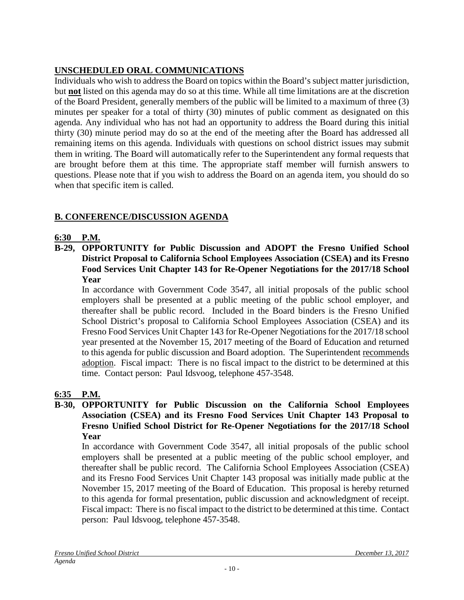# **UNSCHEDULED ORAL COMMUNICATIONS**

Individuals who wish to address the Board on topics within the Board's subject matter jurisdiction, but **not** listed on this agenda may do so at this time. While all time limitations are at the discretion of the Board President, generally members of the public will be limited to a maximum of three (3) minutes per speaker for a total of thirty (30) minutes of public comment as designated on this agenda. Any individual who has not had an opportunity to address the Board during this initial thirty (30) minute period may do so at the end of the meeting after the Board has addressed all remaining items on this agenda. Individuals with questions on school district issues may submit them in writing. The Board will automatically refer to the Superintendent any formal requests that are brought before them at this time. The appropriate staff member will furnish answers to questions. Please note that if you wish to address the Board on an agenda item, you should do so when that specific item is called.

# **B. CONFERENCE/DISCUSSION AGENDA**

# **6:30 P.M.**

**B-29, OPPORTUNITY for Public Discussion and ADOPT the Fresno Unified School District Proposal to California School Employees Association (CSEA) and its Fresno Food Services Unit Chapter 143 for Re-Opener Negotiations for the 2017/18 School Year**

In accordance with Government Code 3547, all initial proposals of the public school employers shall be presented at a public meeting of the public school employer, and thereafter shall be public record. Included in the Board binders is the Fresno Unified School District's proposal to California School Employees Association (CSEA) and its Fresno Food Services Unit Chapter 143 for Re-Opener Negotiations for the 2017/18 school year presented at the November 15, 2017 meeting of the Board of Education and returned to this agenda for public discussion and Board adoption. The Superintendent recommends adoption. Fiscal impact: There is no fiscal impact to the district to be determined at this time. Contact person: Paul Idsvoog, telephone 457-3548.

# **6:35 P.M.**

#### **B-30, OPPORTUNITY for Public Discussion on the California School Employees Association (CSEA) and its Fresno Food Services Unit Chapter 143 Proposal to Fresno Unified School District for Re-Opener Negotiations for the 2017/18 School Year**

In accordance with Government Code 3547, all initial proposals of the public school employers shall be presented at a public meeting of the public school employer, and thereafter shall be public record. The California School Employees Association (CSEA) and its Fresno Food Services Unit Chapter 143 proposal was initially made public at the November 15, 2017 meeting of the Board of Education. This proposal is hereby returned to this agenda for formal presentation, public discussion and acknowledgment of receipt. Fiscal impact: There is no fiscal impact to the district to be determined at this time. Contact person: Paul Idsvoog, telephone 457-3548.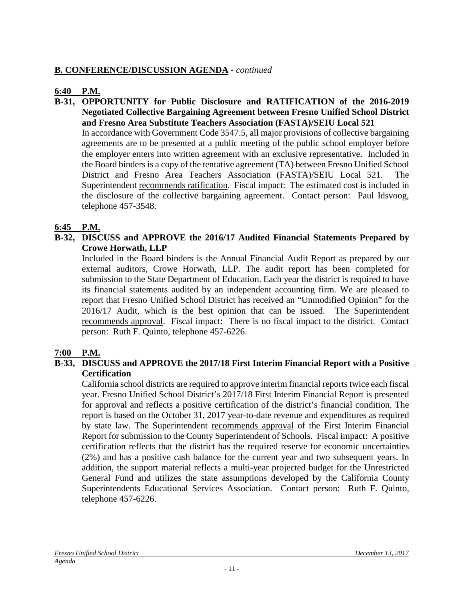### **B. CONFERENCE/DISCUSSION AGENDA** - *continued*

# **6:40 P.M.**

**B-31, OPPORTUNITY for Public Disclosure and RATIFICATION of the 2016-2019 Negotiated Collective Bargaining Agreement between Fresno Unified School District and Fresno Area Substitute Teachers Association (FASTA)/SEIU Local 521** In accordance with Government Code 3547.5, all major provisions of collective bargaining agreements are to be presented at a public meeting of the public school employer before the employer enters into written agreement with an exclusive representative. Included in the Board binders is a copy of the tentative agreement (TA) between Fresno Unified School District and Fresno Area Teachers Association (FASTA)/SEIU Local 521. The Superintendent recommends ratification. Fiscal impact: The estimated cost is included in the disclosure of the collective bargaining agreement. Contact person: Paul Idsvoog, telephone 457-3548.

### **6:45 P.M.**

**B-32, DISCUSS and APPROVE the 2016/17 Audited Financial Statements Prepared by Crowe Horwath, LLP**

Included in the Board binders is the Annual Financial Audit Report as prepared by our external auditors, Crowe Horwath, LLP. The audit report has been completed for submission to the State Department of Education. Each year the district is required to have its financial statements audited by an independent accounting firm. We are pleased to report that Fresno Unified School District has received an "Unmodified Opinion" for the 2016/17 Audit, which is the best opinion that can be issued. The Superintendent recommends approval. Fiscal impact: There is no fiscal impact to the district. Contact person: Ruth F. Quinto, telephone 457-6226.

# **7:00 P.M.**

#### **B-33, DISCUSS and APPROVE the 2017/18 First Interim Financial Report with a Positive Certification**

California school districts are required to approve interim financial reports twice each fiscal year. Fresno Unified School District's 2017/18 First Interim Financial Report is presented for approval and reflects a positive certification of the district's financial condition. The report is based on the October 31, 2017 year-to-date revenue and expenditures as required by state law. The Superintendent recommends approval of the First Interim Financial Report for submission to the County Superintendent of Schools. Fiscal impact: A positive certification reflects that the district has the required reserve for economic uncertainties (2%) and has a positive cash balance for the current year and two subsequent years. In addition, the support material reflects a multi-year projected budget for the Unrestricted General Fund and utilizes the state assumptions developed by the California County Superintendents Educational Services Association. Contact person: Ruth F. Quinto, telephone 457-6226.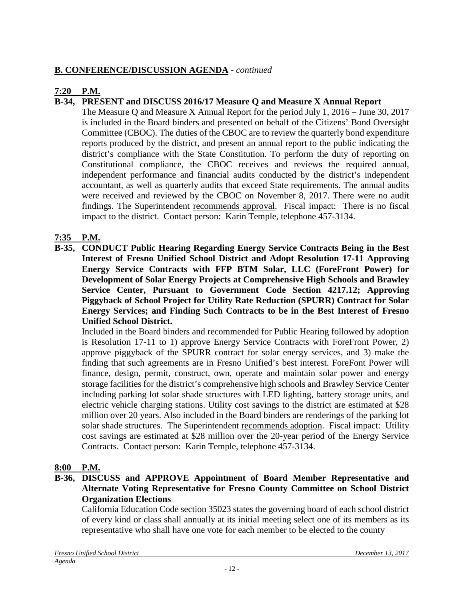# **B. CONFERENCE/DISCUSSION AGENDA** - *continued*

# **7:20 P.M.**

#### **B-34, PRESENT and DISCUSS 2016/17 Measure Q and Measure X Annual Report**

The Measure Q and Measure X Annual Report for the period July 1, 2016 – June 30, 2017 is included in the Board binders and presented on behalf of the Citizens' Bond Oversight Committee (CBOC). The duties of the CBOC are to review the quarterly bond expenditure reports produced by the district, and present an annual report to the public indicating the district's compliance with the State Constitution. To perform the duty of reporting on Constitutional compliance, the CBOC receives and reviews the required annual, independent performance and financial audits conducted by the district's independent accountant, as well as quarterly audits that exceed State requirements. The annual audits were received and reviewed by the CBOC on November 8, 2017. There were no audit findings. The Superintendent recommends approval. Fiscal impact: There is no fiscal impact to the district. Contact person: Karin Temple, telephone 457-3134.

### **7:35 P.M.**

**B-35, CONDUCT Public Hearing Regarding Energy Service Contracts Being in the Best Interest of Fresno Unified School District and Adopt Resolution 17-11 Approving Energy Service Contracts with FFP BTM Solar, LLC (ForeFront Power) for Development of Solar Energy Projects at Comprehensive High Schools and Brawley Service Center, Pursuant to Government Code Section 4217.12; Approving Piggyback of School Project for Utility Rate Reduction (SPURR) Contract for Solar Energy Services; and Finding Such Contracts to be in the Best Interest of Fresno Unified School District.**

Included in the Board binders and recommended for Public Hearing followed by adoption is Resolution 17-11 to 1) approve Energy Service Contracts with ForeFront Power, 2) approve piggyback of the SPURR contract for solar energy services, and 3) make the finding that such agreements are in Fresno Unified's best interest. ForeFont Power will finance, design, permit, construct, own, operate and maintain solar power and energy storage facilities for the district's comprehensive high schools and Brawley Service Center including parking lot solar shade structures with LED lighting, battery storage units, and electric vehicle charging stations. Utility cost savings to the district are estimated at \$28 million over 20 years. Also included in the Board binders are renderings of the parking lot solar shade structures. The Superintendent recommends adoption. Fiscal impact: Utility cost savings are estimated at \$28 million over the 20-year period of the Energy Service Contracts. Contact person: Karin Temple, telephone 457-3134.

#### **8:00 P.M.**

#### **B-36, DISCUSS and APPROVE Appointment of Board Member Representative and Alternate Voting Representative for Fresno County Committee on School District Organization Elections**

California Education Code section 35023 states the governing board of each school district of every kind or class shall annually at its initial meeting select one of its members as its representative who shall have one vote for each member to be elected to the county